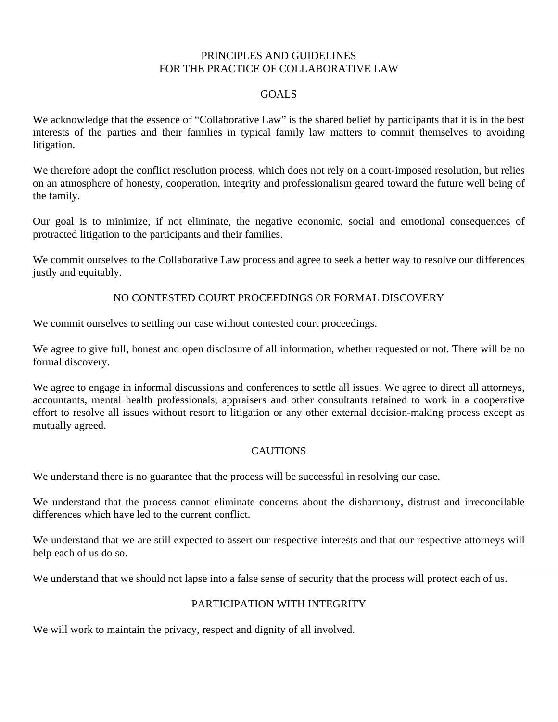#### PRINCIPLES AND GUIDELINES FOR THE PRACTICE OF COLLABORATIVE LAW

#### GOALS

We acknowledge that the essence of "Collaborative Law" is the shared belief by participants that it is in the best interests of the parties and their families in typical family law matters to commit themselves to avoiding litigation.

We therefore adopt the conflict resolution process, which does not rely on a court-imposed resolution, but relies on an atmosphere of honesty, cooperation, integrity and professionalism geared toward the future well being of the family.

Our goal is to minimize, if not eliminate, the negative economic, social and emotional consequences of protracted litigation to the participants and their families.

We commit ourselves to the Collaborative Law process and agree to seek a better way to resolve our differences justly and equitably.

### NO CONTESTED COURT PROCEEDINGS OR FORMAL DISCOVERY

We commit ourselves to settling our case without contested court proceedings.

We agree to give full, honest and open disclosure of all information, whether requested or not. There will be no formal discovery.

We agree to engage in informal discussions and conferences to settle all issues. We agree to direct all attorneys, accountants, mental health professionals, appraisers and other consultants retained to work in a cooperative effort to resolve all issues without resort to litigation or any other external decision-making process except as mutually agreed.

### **CAUTIONS**

We understand there is no guarantee that the process will be successful in resolving our case.

We understand that the process cannot eliminate concerns about the disharmony, distrust and irreconcilable differences which have led to the current conflict.

We understand that we are still expected to assert our respective interests and that our respective attorneys will help each of us do so.

We understand that we should not lapse into a false sense of security that the process will protect each of us.

# PARTICIPATION WITH INTEGRITY

We will work to maintain the privacy, respect and dignity of all involved.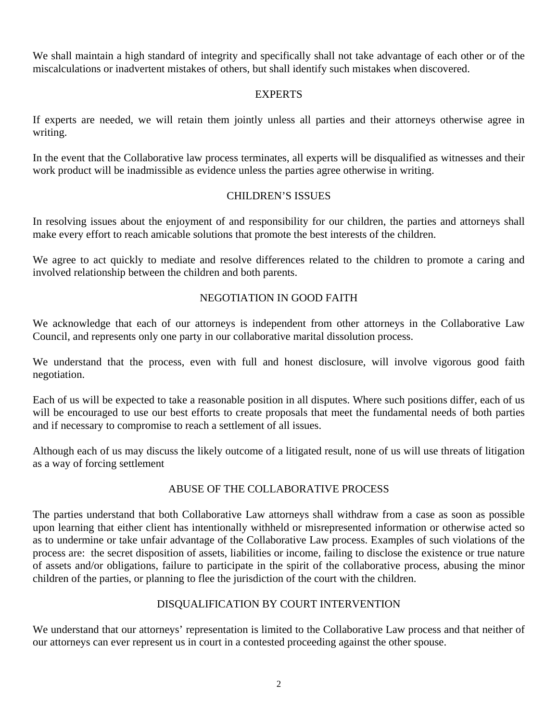We shall maintain a high standard of integrity and specifically shall not take advantage of each other or of the miscalculations or inadvertent mistakes of others, but shall identify such mistakes when discovered.

#### EXPERTS

If experts are needed, we will retain them jointly unless all parties and their attorneys otherwise agree in writing.

In the event that the Collaborative law process terminates, all experts will be disqualified as witnesses and their work product will be inadmissible as evidence unless the parties agree otherwise in writing.

### CHILDREN'S ISSUES

In resolving issues about the enjoyment of and responsibility for our children, the parties and attorneys shall make every effort to reach amicable solutions that promote the best interests of the children.

We agree to act quickly to mediate and resolve differences related to the children to promote a caring and involved relationship between the children and both parents.

## NEGOTIATION IN GOOD FAITH

We acknowledge that each of our attorneys is independent from other attorneys in the Collaborative Law Council, and represents only one party in our collaborative marital dissolution process.

We understand that the process, even with full and honest disclosure, will involve vigorous good faith negotiation.

Each of us will be expected to take a reasonable position in all disputes. Where such positions differ, each of us will be encouraged to use our best efforts to create proposals that meet the fundamental needs of both parties and if necessary to compromise to reach a settlement of all issues.

Although each of us may discuss the likely outcome of a litigated result, none of us will use threats of litigation as a way of forcing settlement

# ABUSE OF THE COLLABORATIVE PROCESS

The parties understand that both Collaborative Law attorneys shall withdraw from a case as soon as possible upon learning that either client has intentionally withheld or misrepresented information or otherwise acted so as to undermine or take unfair advantage of the Collaborative Law process. Examples of such violations of the process are: the secret disposition of assets, liabilities or income, failing to disclose the existence or true nature of assets and/or obligations, failure to participate in the spirit of the collaborative process, abusing the minor children of the parties, or planning to flee the jurisdiction of the court with the children.

### DISQUALIFICATION BY COURT INTERVENTION

We understand that our attorneys' representation is limited to the Collaborative Law process and that neither of our attorneys can ever represent us in court in a contested proceeding against the other spouse.